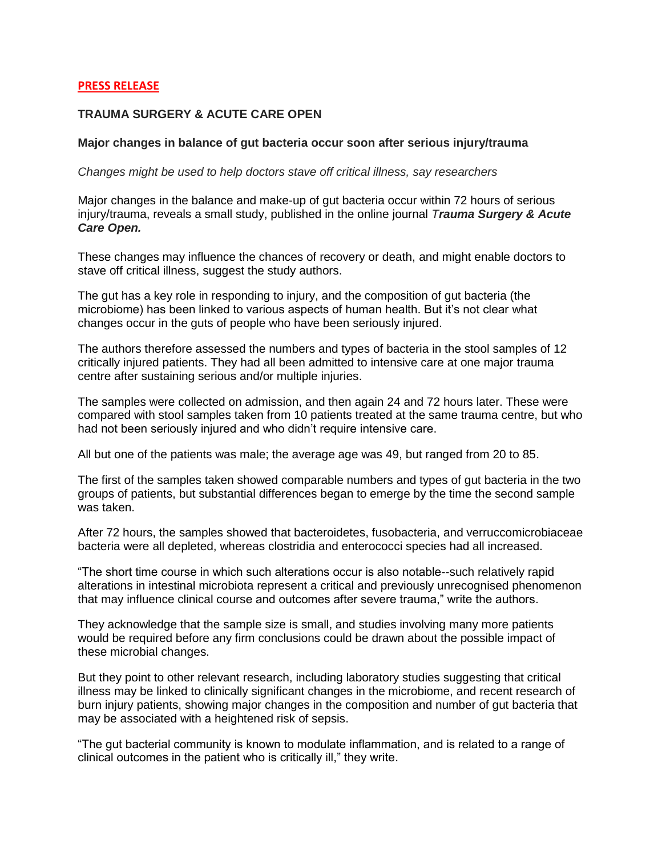## **PRESS RELEASE**

## **TRAUMA SURGERY & ACUTE CARE OPEN**

## **Major changes in balance of gut bacteria occur soon after serious injury/trauma**

*Changes might be used to help doctors stave off critical illness, say researchers*

Major changes in the balance and make-up of gut bacteria occur within 72 hours of serious injury/trauma, reveals a small study, published in the online journal *Trauma Surgery & Acute Care Open.*

These changes may influence the chances of recovery or death, and might enable doctors to stave off critical illness, suggest the study authors.

The gut has a key role in responding to injury, and the composition of gut bacteria (the microbiome) has been linked to various aspects of human health. But it's not clear what changes occur in the guts of people who have been seriously injured.

The authors therefore assessed the numbers and types of bacteria in the stool samples of 12 critically injured patients. They had all been admitted to intensive care at one major trauma centre after sustaining serious and/or multiple injuries.

The samples were collected on admission, and then again 24 and 72 hours later. These were compared with stool samples taken from 10 patients treated at the same trauma centre, but who had not been seriously injured and who didn't require intensive care.

All but one of the patients was male; the average age was 49, but ranged from 20 to 85.

The first of the samples taken showed comparable numbers and types of gut bacteria in the two groups of patients, but substantial differences began to emerge by the time the second sample was taken.

After 72 hours, the samples showed that bacteroidetes, fusobacteria, and verruccomicrobiaceae bacteria were all depleted, whereas clostridia and enterococci species had all increased.

"The short time course in which such alterations occur is also notable--such relatively rapid alterations in intestinal microbiota represent a critical and previously unrecognised phenomenon that may influence clinical course and outcomes after severe trauma," write the authors.

They acknowledge that the sample size is small, and studies involving many more patients would be required before any firm conclusions could be drawn about the possible impact of these microbial changes.

But they point to other relevant research, including laboratory studies suggesting that critical illness may be linked to clinically significant changes in the microbiome, and recent research of burn injury patients, showing major changes in the composition and number of gut bacteria that may be associated with a heightened risk of sepsis.

"The gut bacterial community is known to modulate inflammation, and is related to a range of clinical outcomes in the patient who is critically ill," they write.